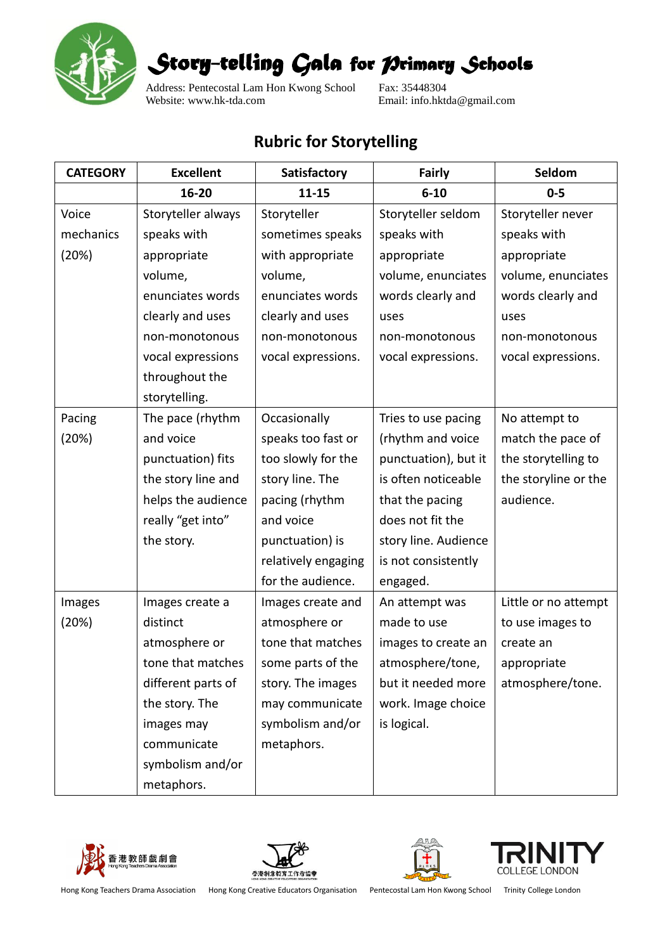

*Story-telling Gala for Primary Schools* 

Address: Pentecostal Lam Hon Kwong School Fax: 35448304<br>Website: www.hk-tda.com Email: info.hkt

Email: info.hktda@gmail.com

## **Rubric for Storytelling**

| <b>CATEGORY</b> | <b>Excellent</b>   | Satisfactory        | <b>Fairly</b>        | Seldom               |
|-----------------|--------------------|---------------------|----------------------|----------------------|
|                 | 16-20              | $11 - 15$           | $6 - 10$             | $0 - 5$              |
| Voice           | Storyteller always | Storyteller         | Storyteller seldom   | Storyteller never    |
| mechanics       | speaks with        | sometimes speaks    | speaks with          | speaks with          |
| (20%)           | appropriate        | with appropriate    | appropriate          | appropriate          |
|                 | volume,            | volume,             | volume, enunciates   | volume, enunciates   |
|                 | enunciates words   | enunciates words    | words clearly and    | words clearly and    |
|                 | clearly and uses   | clearly and uses    | uses                 | uses                 |
|                 | non-monotonous     | non-monotonous      | non-monotonous       | non-monotonous       |
|                 | vocal expressions  | vocal expressions.  | vocal expressions.   | vocal expressions.   |
|                 | throughout the     |                     |                      |                      |
|                 | storytelling.      |                     |                      |                      |
| Pacing          | The pace (rhythm   | Occasionally        | Tries to use pacing  | No attempt to        |
| (20%)           | and voice          | speaks too fast or  | (rhythm and voice    | match the pace of    |
|                 | punctuation) fits  | too slowly for the  | punctuation), but it | the storytelling to  |
|                 | the story line and | story line. The     | is often noticeable  | the storyline or the |
|                 | helps the audience | pacing (rhythm      | that the pacing      | audience.            |
|                 | really "get into"  | and voice           | does not fit the     |                      |
|                 | the story.         | punctuation) is     | story line. Audience |                      |
|                 |                    | relatively engaging | is not consistently  |                      |
|                 |                    | for the audience.   | engaged.             |                      |
| Images          | Images create a    | Images create and   | An attempt was       | Little or no attempt |
| (20%)           | distinct           | atmosphere or       | made to use          | to use images to     |
|                 | atmosphere or      | tone that matches   | images to create an  | create an            |
|                 | tone that matches  | some parts of the   | atmosphere/tone,     | appropriate          |
|                 | different parts of | story. The images   | but it needed more   | atmosphere/tone.     |
|                 | the story. The     | may communicate     | work. Image choice   |                      |
|                 | images may         | symbolism and/or    | is logical.          |                      |
|                 | communicate        | metaphors.          |                      |                      |
|                 | symbolism and/or   |                     |                      |                      |
|                 | metaphors.         |                     |                      |                      |









Hong Kong Teachers Drama Association Hong Kong Creative Educators Organisation Pentecostal Lam Hon Kwong School Trinity College London